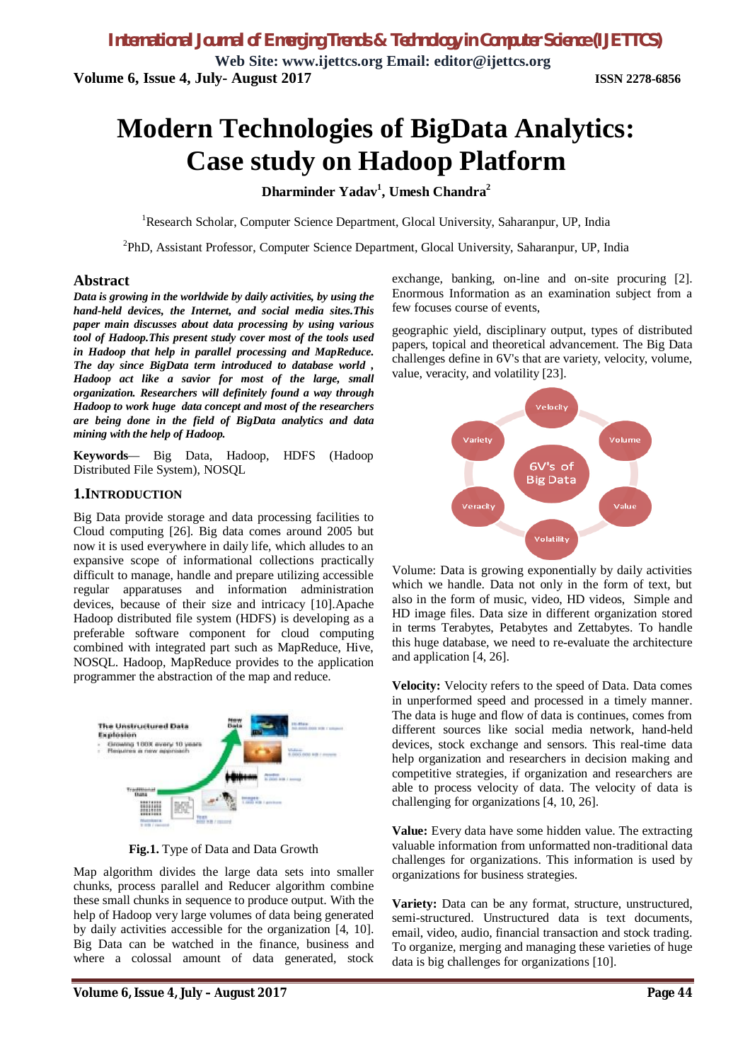**Web Site: www.ijettcs.org Email: editor@ijettcs.org Volume 6, Issue 4, July- August 2017 ISSN 2278-6856**

# **Modern Technologies of BigData Analytics: Case study on Hadoop Platform**

**Dharminder Yadav<sup>1</sup> , Umesh Chandra<sup>2</sup>**

<sup>1</sup>Research Scholar, Computer Science Department, Glocal University, Saharanpur, UP, India

<sup>2</sup>PhD, Assistant Professor, Computer Science Department, Glocal University, Saharanpur, UP, India

# **Abstract**

*Data is growing in the worldwide by daily activities, by using the hand-held devices, the Internet, and social media sites.This paper main discusses about data processing by using various tool of Hadoop.This present study cover most of the tools used in Hadoop that help in parallel processing and MapReduce. The day since BigData term introduced to database world , Hadoop act like a savior for most of the large, small organization. Researchers will definitely found a way through Hadoop to work huge data concept and most of the researchers are being done in the field of BigData analytics and data mining with the help of Hadoop.*

**Keywords***—* Big Data, Hadoop, HDFS (Hadoop Distributed File System), NOSQL

# **1.INTRODUCTION**

Big Data provide storage and data processing facilities to Cloud computing [26]. Big data comes around 2005 but now it is used everywhere in daily life, which alludes to an expansive scope of informational collections practically difficult to manage, handle and prepare utilizing accessible regular apparatuses and information administration devices, because of their size and intricacy [10].Apache Hadoop distributed file system (HDFS) is developing as a preferable software component for cloud computing combined with integrated part such as MapReduce, Hive, NOSQL. Hadoop, MapReduce provides to the application programmer the abstraction of the map and reduce.



**Fig.1.** Type of Data and Data Growth

Map algorithm divides the large data sets into smaller chunks, process parallel and Reducer algorithm combine these small chunks in sequence to produce output. With the help of Hadoop very large volumes of data being generated by daily activities accessible for the organization [4, 10]. Big Data can be watched in the finance, business and where a colossal amount of data generated, stock

exchange, banking, on-line and on-site procuring [2]. Enormous Information as an examination subject from a few focuses course of events,

geographic yield, disciplinary output, types of distributed papers, topical and theoretical advancement. The Big Data challenges define in 6V's that are variety, velocity, volume, value, veracity, and volatility [23].



Volume: Data is growing exponentially by daily activities which we handle. Data not only in the form of text, but also in the form of music, video, HD videos, Simple and HD image files. Data size in different organization stored in terms Terabytes, Petabytes and Zettabytes. To handle this huge database, we need to re-evaluate the architecture and application [4, 26].

**Velocity:** Velocity refers to the speed of Data. Data comes in unperformed speed and processed in a timely manner. The data is huge and flow of data is continues, comes from different sources like social media network, hand-held devices, stock exchange and sensors. This real-time data help organization and researchers in decision making and competitive strategies, if organization and researchers are able to process velocity of data. The velocity of data is challenging for organizations [4, 10, 26].

**Value:** Every data have some hidden value. The extracting valuable information from unformatted non-traditional data challenges for organizations. This information is used by organizations for business strategies.

**Variety:** Data can be any format, structure, unstructured, semi-structured. Unstructured data is text documents, email, video, audio, financial transaction and stock trading. To organize, merging and managing these varieties of huge data is big challenges for organizations [10].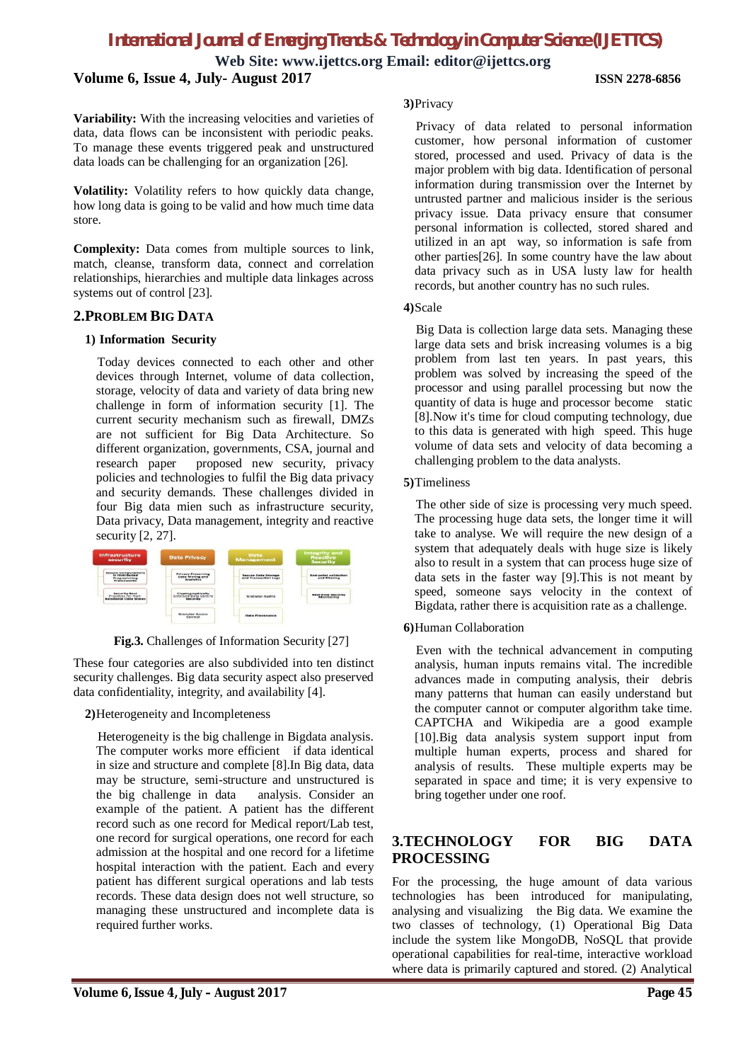**Web Site: www.ijettcs.org Email: editor@ijettcs.org Volume 6, Issue 4, July- August 2017 ISSN 2278-6856**

**Variability:** With the increasing velocities and varieties of data, data flows can be inconsistent with periodic peaks. To manage these events triggered peak and unstructured

data loads can be challenging for an organization [26].

**Volatility:** Volatility refers to how quickly data change, how long data is going to be valid and how much time data store.

**Complexity:** Data comes from multiple sources to link, match, cleanse, transform data, connect and correlation relationships, hierarchies and multiple data linkages across systems out of control [23].

# **2.PROBLEM BIG DATA**

### **1) Information Security**

 Today devices connected to each other and other devices through Internet, volume of data collection, storage, velocity of data and variety of data bring new challenge in form of information security [1]. The current security mechanism such as firewall, DMZs are not sufficient for Big Data Architecture. So different organization, governments, CSA, journal and research paper proposed new security, privacy policies and technologies to fulfil the Big data privacy and security demands. These challenges divided in four Big data mien such as infrastructure security, Data privacy, Data management, integrity and reactive security [2, 27].



**Fig.3.** Challenges of Information Security [27]

These four categories are also subdivided into ten distinct security challenges. Big data security aspect also preserved data confidentiality, integrity, and availability [4].

**2)**Heterogeneity and Incompleteness

 Heterogeneity is the big challenge in Bigdata analysis. The computer works more efficient if data identical in size and structure and complete [8].In Big data, data may be structure, semi-structure and unstructured is the big challenge in data analysis. Consider an example of the patient. A patient has the different record such as one record for Medical report/Lab test, one record for surgical operations, one record for each admission at the hospital and one record for a lifetime hospital interaction with the patient. Each and every patient has different surgical operations and lab tests records. These data design does not well structure, so managing these unstructured and incomplete data is required further works.

### **3)**Privacy

 Privacy of data related to personal information customer, how personal information of customer stored, processed and used. Privacy of data is the major problem with big data. Identification of personal information during transmission over the Internet by untrusted partner and malicious insider is the serious privacy issue. Data privacy ensure that consumer personal information is collected, stored shared and utilized in an apt way, so information is safe from other parties[26]. In some country have the law about data privacy such as in USA lusty law for health records, but another country has no such rules.

### **4)**Scale

 Big Data is collection large data sets. Managing these large data sets and brisk increasing volumes is a big problem from last ten years. In past years, this problem was solved by increasing the speed of the processor and using parallel processing but now the quantity of data is huge and processor become static [8].Now it's time for cloud computing technology, due to this data is generated with high speed. This huge volume of data sets and velocity of data becoming a challenging problem to the data analysts.

# **5)**Timeliness

 The other side of size is processing very much speed. The processing huge data sets, the longer time it will take to analyse. We will require the new design of a system that adequately deals with huge size is likely also to result in a system that can process huge size of data sets in the faster way [9].This is not meant by speed, someone says velocity in the context of Bigdata, rather there is acquisition rate as a challenge.

# **6)**Human Collaboration

 Even with the technical advancement in computing analysis, human inputs remains vital. The incredible advances made in computing analysis, their debris many patterns that human can easily understand but the computer cannot or computer algorithm take time. CAPTCHA and Wikipedia are a good example [10].Big data analysis system support input from multiple human experts, process and shared for analysis of results. These multiple experts may be separated in space and time; it is very expensive to bring together under one roof.

# **3.TECHNOLOGY FOR BIG DATA PROCESSING**

For the processing, the huge amount of data various technologies has been introduced for manipulating, analysing and visualizing the Big data. We examine the two classes of technology, (1) Operational Big Data include the system like MongoDB, NoSQL that provide operational capabilities for real-time, interactive workload where data is primarily captured and stored. (2) Analytical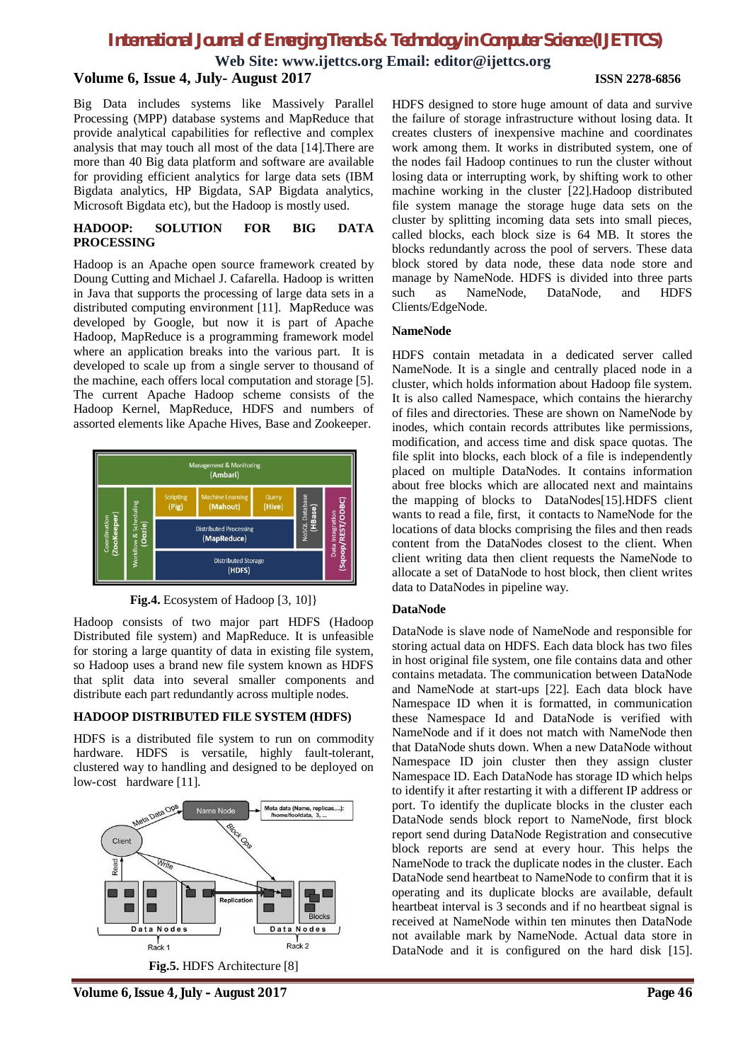**Web Site: www.ijettcs.org Email: editor@ijettcs.org**

# **Volume 6, Issue 4, July- August 2017 ISSN 2278-6856**

Big Data includes systems like Massively Parallel Processing (MPP) database systems and MapReduce that provide analytical capabilities for reflective and complex analysis that may touch all most of the data [14].There are more than 40 Big data platform and software are available for providing efficient analytics for large data sets (IBM Bigdata analytics, HP Bigdata, SAP Bigdata analytics, Microsoft Bigdata etc), but the Hadoop is mostly used.

### **HADOOP: SOLUTION FOR BIG DATA PROCESSING**

Hadoop is an Apache open source framework created by Doung Cutting and Michael J. Cafarella. Hadoop is written in Java that supports the processing of large data sets in a distributed computing environment [11]. MapReduce was developed by Google, but now it is part of Apache Hadoop, MapReduce is a programming framework model where an application breaks into the various part. It is developed to scale up from a single server to thousand of the machine, each offers local computation and storage [5]. The current Apache Hadoop scheme consists of the Hadoop Kernel, MapReduce, HDFS and numbers of assorted elements like Apache Hives, Base and Zookeeper.



**Fig.4.** Ecosystem of Hadoop [3, 10]}

Hadoop consists of two major part HDFS (Hadoop Distributed file system) and MapReduce. It is unfeasible for storing a large quantity of data in existing file system, so Hadoop uses a brand new file system known as HDFS that split data into several smaller components and distribute each part redundantly across multiple nodes.

# **HADOOP DISTRIBUTED FILE SYSTEM (HDFS)**

HDFS is a distributed file system to run on commodity hardware. HDFS is versatile, highly fault-tolerant, clustered way to handling and designed to be deployed on low-cost hardware [11].



HDFS designed to store huge amount of data and survive the failure of storage infrastructure without losing data. It creates clusters of inexpensive machine and coordinates work among them. It works in distributed system, one of the nodes fail Hadoop continues to run the cluster without losing data or interrupting work, by shifting work to other machine working in the cluster [22].Hadoop distributed file system manage the storage huge data sets on the cluster by splitting incoming data sets into small pieces, called blocks, each block size is 64 MB. It stores the blocks redundantly across the pool of servers. These data block stored by data node, these data node store and manage by NameNode. HDFS is divided into three parts such as NameNode, DataNode, and HDFS Clients/EdgeNode.

# **NameNode**

HDFS contain metadata in a dedicated server called NameNode. It is a single and centrally placed node in a cluster, which holds information about Hadoop file system. It is also called Namespace, which contains the hierarchy of files and directories. These are shown on NameNode by inodes, which contain records attributes like permissions, modification, and access time and disk space quotas. The file split into blocks, each block of a file is independently placed on multiple DataNodes. It contains information about free blocks which are allocated next and maintains the mapping of blocks to DataNodes[15].HDFS client wants to read a file, first, it contacts to NameNode for the locations of data blocks comprising the files and then reads content from the DataNodes closest to the client. When client writing data then client requests the NameNode to allocate a set of DataNode to host block, then client writes data to DataNodes in pipeline way.

# **DataNode**

DataNode is slave node of NameNode and responsible for storing actual data on HDFS. Each data block has two files in host original file system, one file contains data and other contains metadata. The communication between DataNode and NameNode at start-ups [22]. Each data block have Namespace ID when it is formatted, in communication these Namespace Id and DataNode is verified with NameNode and if it does not match with NameNode then that DataNode shuts down. When a new DataNode without Namespace ID join cluster then they assign cluster Namespace ID. Each DataNode has storage ID which helps to identify it after restarting it with a different IP address or port. To identify the duplicate blocks in the cluster each DataNode sends block report to NameNode, first block report send during DataNode Registration and consecutive block reports are send at every hour. This helps the NameNode to track the duplicate nodes in the cluster. Each DataNode send heartbeat to NameNode to confirm that it is operating and its duplicate blocks are available, default heartbeat interval is 3 seconds and if no heartbeat signal is received at NameNode within ten minutes then DataNode not available mark by NameNode. Actual data store in DataNode and it is configured on the hard disk [15].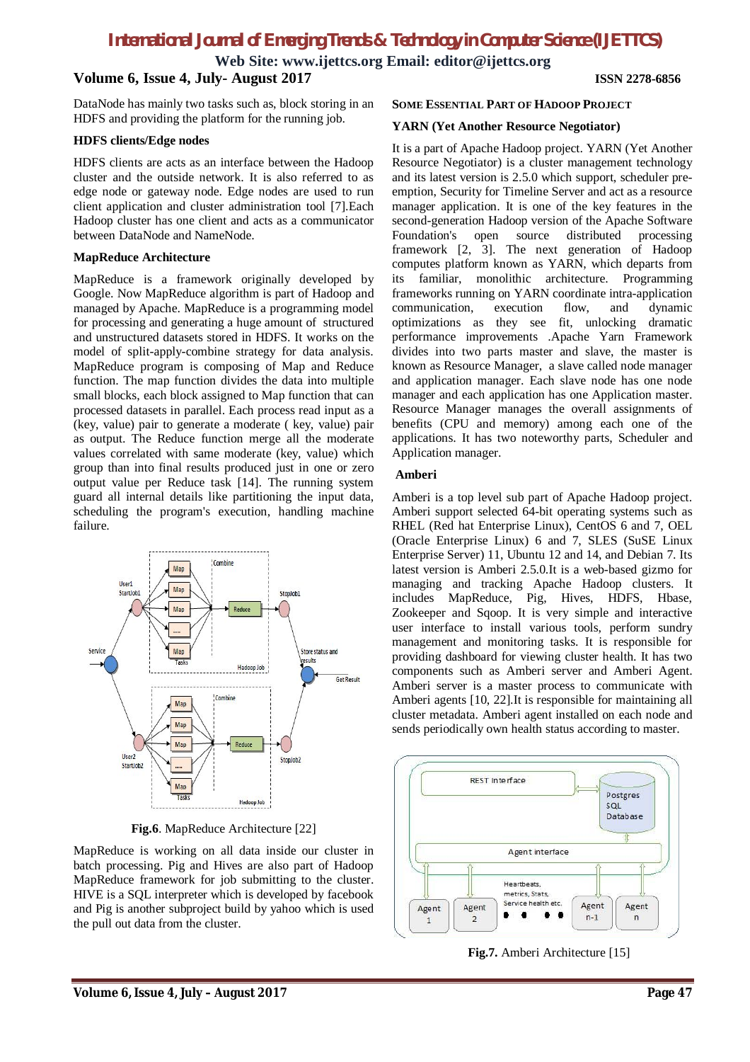**Web Site: www.ijettcs.org Email: editor@ijettcs.org**

# **Volume 6, Issue 4, July- August 2017 ISSN 2278-6856**

DataNode has mainly two tasks such as, block storing in an HDFS and providing the platform for the running job.

### **HDFS clients/Edge nodes**

HDFS clients are acts as an interface between the Hadoop cluster and the outside network. It is also referred to as edge node or gateway node. Edge nodes are used to run client application and cluster administration tool [7].Each Hadoop cluster has one client and acts as a communicator between DataNode and NameNode.

# **MapReduce Architecture**

MapReduce is a framework originally developed by Google. Now MapReduce algorithm is part of Hadoop and managed by Apache. MapReduce is a programming model for processing and generating a huge amount of structured and unstructured datasets stored in HDFS. It works on the model of split-apply-combine strategy for data analysis. MapReduce program is composing of Map and Reduce function. The map function divides the data into multiple small blocks, each block assigned to Map function that can processed datasets in parallel. Each process read input as a (key, value) pair to generate a moderate ( key, value) pair as output. The Reduce function merge all the moderate values correlated with same moderate (key, value) which group than into final results produced just in one or zero output value per Reduce task [14]. The running system guard all internal details like partitioning the input data, scheduling the program's execution, handling machine failure.



**Fig.6**. MapReduce Architecture [22]

MapReduce is working on all data inside our cluster in batch processing. Pig and Hives are also part of Hadoop MapReduce framework for job submitting to the cluster. HIVE is a SQL interpreter which is developed by facebook and Pig is another subproject build by yahoo which is used the pull out data from the cluster.

### **SOME ESSENTIAL PART OF HADOOP PROJECT**

### **YARN (Yet Another Resource Negotiator)**

It is a part of Apache Hadoop project. YARN (Yet Another Resource Negotiator) is a cluster management technology and its latest version is 2.5.0 which support, scheduler preemption, Security for Timeline Server and act as a resource manager application. It is one of the key features in the second-generation Hadoop version of the Apache Software Foundation's open source distributed processing framework [2, 3]. The next generation of Hadoop computes platform known as YARN, which departs from its familiar, monolithic architecture. Programming frameworks running on YARN coordinate intra-application communication, execution flow, and dynamic optimizations as they see fit, unlocking dramatic performance improvements .Apache Yarn Framework divides into two parts master and slave, the master is known as Resource Manager, a slave called node manager and application manager. Each slave node has one node manager and each application has one Application master. Resource Manager manages the overall assignments of benefits (CPU and memory) among each one of the applications. It has two noteworthy parts, Scheduler and Application manager.

# **Amberi**

Amberi is a top level sub part of Apache Hadoop project. Amberi support selected 64-bit operating systems such as RHEL (Red hat Enterprise Linux), CentOS 6 and 7, OEL (Oracle Enterprise Linux) 6 and 7, SLES (SuSE Linux Enterprise Server) 11, Ubuntu 12 and 14, and Debian 7. Its latest version is Amberi 2.5.0.It is a web-based gizmo for managing and tracking Apache Hadoop clusters. It includes MapReduce, Pig, Hives, HDFS, Hbase, Zookeeper and Sqoop. It is very simple and interactive user interface to install various tools, perform sundry management and monitoring tasks. It is responsible for providing dashboard for viewing cluster health. It has two components such as Amberi server and Amberi Agent. Amberi server is a master process to communicate with Amberi agents [10, 22].It is responsible for maintaining all cluster metadata. Amberi agent installed on each node and sends periodically own health status according to master.



**Fig.7.** Amberi Architecture [15]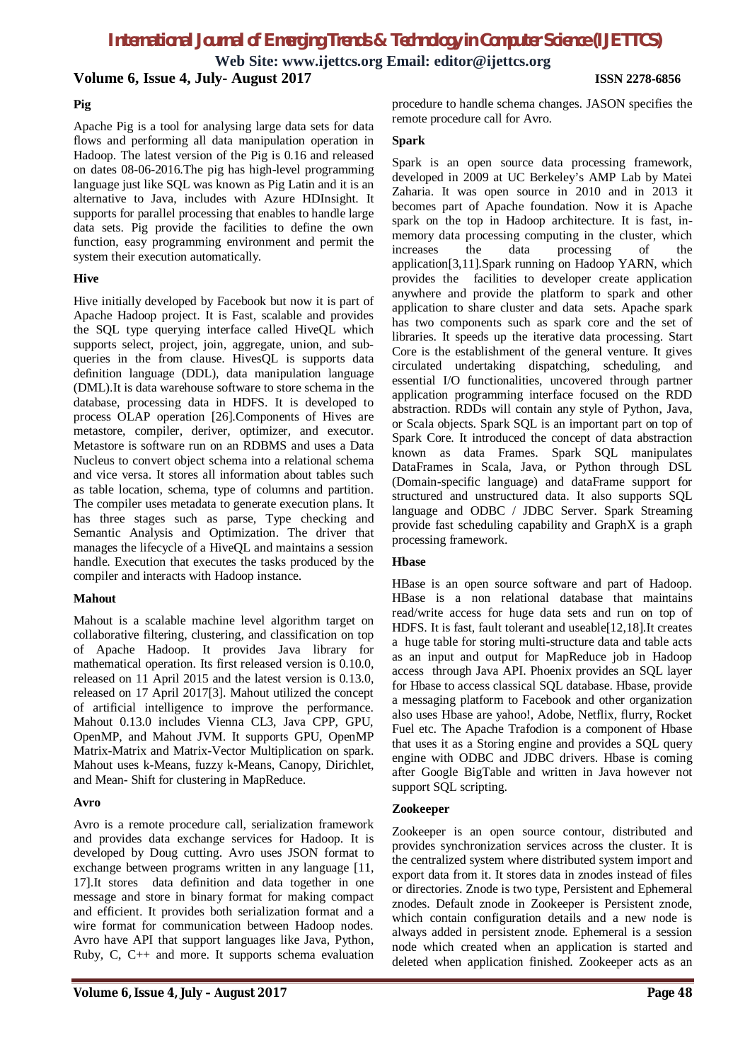**Web Site: www.ijettcs.org Email: editor@ijettcs.org Volume 6, Issue 4, July- August 2017 ISSN 2278-6856**

# **Pig**

Apache Pig is a tool for analysing large data sets for data flows and performing all data manipulation operation in Hadoop. The latest version of the Pig is 0.16 and released on dates 08-06-2016.The pig has high-level programming language just like SQL was known as Pig Latin and it is an alternative to Java, includes with Azure HDInsight. It supports for parallel processing that enables to handle large data sets. Pig provide the facilities to define the own function, easy programming environment and permit the system their execution automatically.

# **Hive**

Hive initially developed by Facebook but now it is part of Apache Hadoop project. It is Fast, scalable and provides the SQL type querying interface called HiveQL which supports select, project, join, aggregate, union, and subqueries in the from clause. HivesQL is supports data definition language (DDL), data manipulation language (DML).It is data warehouse software to store schema in the database, processing data in HDFS. It is developed to process OLAP operation [26].Components of Hives are metastore, compiler, deriver, optimizer, and executor. Metastore is software run on an RDBMS and uses a Data Nucleus to convert object schema into a relational schema and vice versa. It stores all information about tables such as table location, schema, type of columns and partition. The compiler uses metadata to generate execution plans. It has three stages such as parse, Type checking and Semantic Analysis and Optimization. The driver that manages the lifecycle of a HiveQL and maintains a session handle. Execution that executes the tasks produced by the compiler and interacts with Hadoop instance.

# **Mahout**

Mahout is a scalable machine level algorithm target on collaborative filtering, clustering, and classification on top of Apache Hadoop. It provides Java library for mathematical operation. Its first released version is 0.10.0, released on 11 April 2015 and the latest version is 0.13.0, released on 17 April 2017[3]. Mahout utilized the concept of artificial intelligence to improve the performance. Mahout 0.13.0 includes Vienna CL3, Java CPP, GPU, OpenMP, and Mahout JVM. It supports GPU, OpenMP Matrix-Matrix and Matrix-Vector Multiplication on spark. Mahout uses k-Means, fuzzy k-Means, Canopy, Dirichlet, and Mean- Shift for clustering in MapReduce.

# **Avro**

Avro is a remote procedure call, serialization framework and provides data exchange services for Hadoop. It is developed by Doug cutting. Avro uses JSON format to exchange between programs written in any language [11, 17].It stores data definition and data together in one message and store in binary format for making compact and efficient. It provides both serialization format and a wire format for communication between Hadoop nodes. Avro have API that support languages like Java, Python, Ruby, C, C++ and more. It supports schema evaluation

procedure to handle schema changes. JASON specifies the remote procedure call for Avro.

# **Spark**

Spark is an open source data processing framework, developed in 2009 at UC Berkeley's AMP Lab by Matei Zaharia. It was open source in 2010 and in 2013 it becomes part of Apache foundation. Now it is Apache spark on the top in Hadoop architecture. It is fast, inmemory data processing computing in the cluster, which increases the data processing of the application[3,11].Spark running on Hadoop YARN, which provides the facilities to developer create application anywhere and provide the platform to spark and other application to share cluster and data sets. Apache spark has two components such as spark core and the set of libraries. It speeds up the iterative data processing. Start Core is the establishment of the general venture. It gives circulated undertaking dispatching, scheduling, and essential I/O functionalities, uncovered through partner application programming interface focused on the RDD abstraction. RDDs will contain any style of Python, Java, or Scala objects. Spark SQL is an important part on top of Spark Core. It introduced the concept of data abstraction known as data Frames. Spark SQL manipulates DataFrames in Scala, Java, or Python through DSL (Domain-specific language) and dataFrame support for structured and unstructured data. It also supports SQL language and ODBC / JDBC Server. Spark Streaming provide fast scheduling capability and GraphX is a graph processing framework.

# **Hbase**

HBase is an open source software and part of Hadoop. HBase is a non relational database that maintains read/write access for huge data sets and run on top of HDFS. It is fast, fault tolerant and useable[12,18].It creates a huge table for storing multi-structure data and table acts as an input and output for MapReduce job in Hadoop access through Java API. Phoenix provides an SQL layer for Hbase to access classical SQL database. Hbase, provide a messaging platform to Facebook and other organization also uses Hbase are yahoo!, Adobe, Netflix, flurry, Rocket Fuel etc. The Apache Trafodion is a component of Hbase that uses it as a Storing engine and provides a SQL query engine with ODBC and JDBC drivers. Hbase is coming after Google BigTable and written in Java however not support SQL scripting.

### **Zookeeper**

Zookeeper is an open source contour, distributed and provides synchronization services across the cluster. It is the centralized system where distributed system import and export data from it. It stores data in znodes instead of files or directories. Znode is two type, Persistent and Ephemeral znodes. Default znode in Zookeeper is Persistent znode, which contain configuration details and a new node is always added in persistent znode. Ephemeral is a session node which created when an application is started and deleted when application finished. Zookeeper acts as an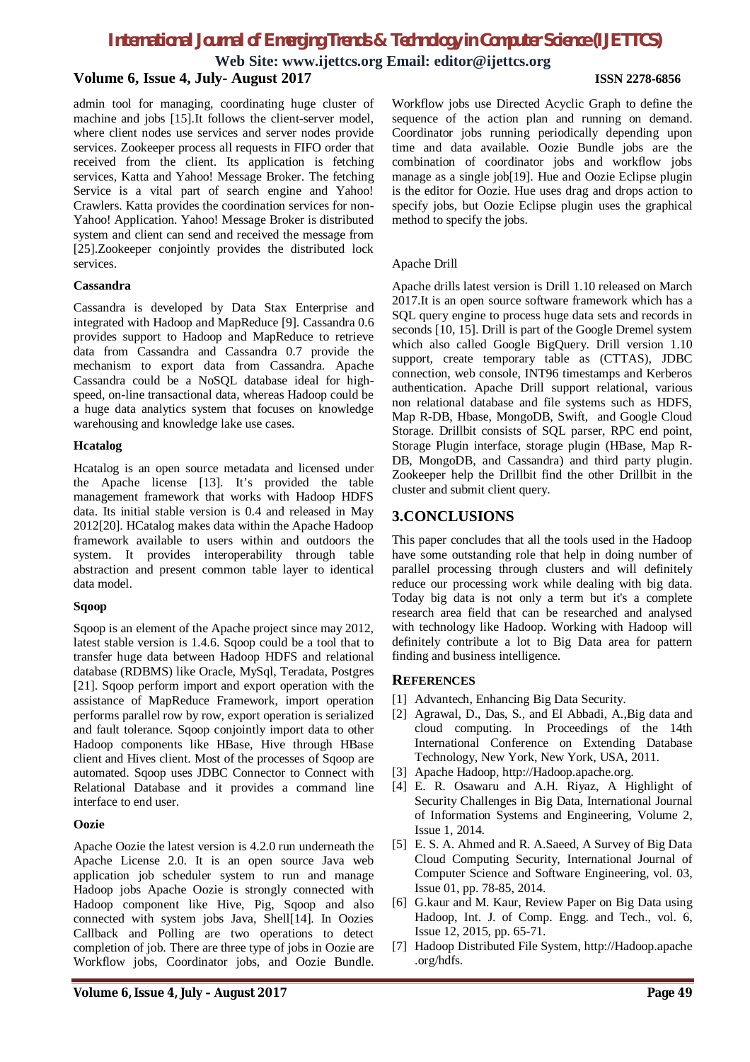**Web Site: www.ijettcs.org Email: editor@ijettcs.org**

# **Volume 6, Issue 4, July- August 2017 ISSN 2278-6856**

admin tool for managing, coordinating huge cluster of machine and jobs [15].It follows the client-server model, where client nodes use services and server nodes provide services. Zookeeper process all requests in FIFO order that received from the client. Its application is fetching services, Katta and Yahoo! Message Broker. The fetching Service is a vital part of search engine and Yahoo! Crawlers. Katta provides the coordination services for non-Yahoo! Application. Yahoo! Message Broker is distributed system and client can send and received the message from [25].Zookeeper conjointly provides the distributed lock services.

### **Cassandra**

Cassandra is developed by Data Stax Enterprise and integrated with Hadoop and MapReduce [9]. Cassandra 0.6 provides support to Hadoop and MapReduce to retrieve data from Cassandra and Cassandra 0.7 provide the mechanism to export data from Cassandra. Apache Cassandra could be a NoSQL database ideal for highspeed, on-line transactional data, whereas Hadoop could be a huge data analytics system that focuses on knowledge warehousing and knowledge lake use cases.

### **Hcatalog**

Hcatalog is an open source metadata and licensed under the Apache license [13]. It's provided the table management framework that works with Hadoop HDFS data. Its initial stable version is 0.4 and released in May 2012[20]. HCatalog makes data within the Apache Hadoop framework available to users within and outdoors the system. It provides interoperability through table abstraction and present common table layer to identical data model.

### **Sqoop**

Sqoop is an element of the Apache project since may 2012, latest stable version is 1.4.6. Sqoop could be a tool that to transfer huge data between Hadoop HDFS and relational database (RDBMS) like Oracle, MySql, Teradata, Postgres [21]. Sqoop perform import and export operation with the assistance of MapReduce Framework, import operation performs parallel row by row, export operation is serialized and fault tolerance. Sqoop conjointly import data to other Hadoop components like HBase, Hive through HBase client and Hives client. Most of the processes of Sqoop are automated. Sqoop uses JDBC Connector to Connect with Relational Database and it provides a command line interface to end user.

### **Oozie**

Apache Oozie the latest version is 4.2.0 run underneath the Apache License 2.0. It is an open source Java web application job scheduler system to run and manage Hadoop jobs Apache Oozie is strongly connected with Hadoop component like Hive, Pig, Sqoop and also connected with system jobs Java, Shell[14]. In Oozies Callback and Polling are two operations to detect completion of job. There are three type of jobs in Oozie are Workflow jobs, Coordinator jobs, and Oozie Bundle.

Workflow jobs use Directed Acyclic Graph to define the sequence of the action plan and running on demand. Coordinator jobs running periodically depending upon time and data available. Oozie Bundle jobs are the combination of coordinator jobs and workflow jobs manage as a single job[19]. Hue and Oozie Eclipse plugin

is the editor for Oozie. Hue uses drag and drops action to specify jobs, but Oozie Eclipse plugin uses the graphical

### Apache Drill

method to specify the jobs.

Apache drills latest version is Drill 1.10 released on March 2017.It is an open source software framework which has a SQL query engine to process huge data sets and records in seconds [10, 15]. Drill is part of the Google Dremel system which also called Google BigQuery. Drill version 1.10 support, create temporary table as (CTTAS), JDBC connection, web console, INT96 timestamps and Kerberos authentication. Apache Drill support relational, various non relational database and file systems such as HDFS, Map R-DB, Hbase, MongoDB, Swift, and Google Cloud Storage. Drillbit consists of SQL parser, RPC end point, Storage Plugin interface, storage plugin (HBase, Map R-DB, MongoDB, and Cassandra) and third party plugin. Zookeeper help the Drillbit find the other Drillbit in the cluster and submit client query.

# **3.CONCLUSIONS**

This paper concludes that all the tools used in the Hadoop have some outstanding role that help in doing number of parallel processing through clusters and will definitely reduce our processing work while dealing with big data. Today big data is not only a term but it's a complete research area field that can be researched and analysed with technology like Hadoop. Working with Hadoop will definitely contribute a lot to Big Data area for pattern finding and business intelligence.

### **REFERENCES**

- [1] Advantech, Enhancing Big Data Security.
- [2] Agrawal, D., Das, S., and El Abbadi, A.,Big data and cloud computing. In Proceedings of the 14th International Conference on Extending Database Technology, New York, New York, USA, 2011.
- [3] Apache Hadoop, http://Hadoop.apache.org.
- [4] E. R. Osawaru and A.H. Riyaz, A Highlight of Security Challenges in Big Data, International Journal of Information Systems and Engineering, Volume 2, Issue 1, 2014.
- [5] E. S. A. Ahmed and R. A.Saeed, A Survey of Big Data Cloud Computing Security, International Journal of Computer Science and Software Engineering, vol. 03, Issue 01, pp. 78-85, 2014.
- [6] G.kaur and M. Kaur, Review Paper on Big Data using Hadoop, Int. J. of Comp. Engg. and Tech., vol. 6, Issue 12, 2015, pp. 65-71.
- [7] Hadoop Distributed File System, http://Hadoop.apache .org/hdfs.